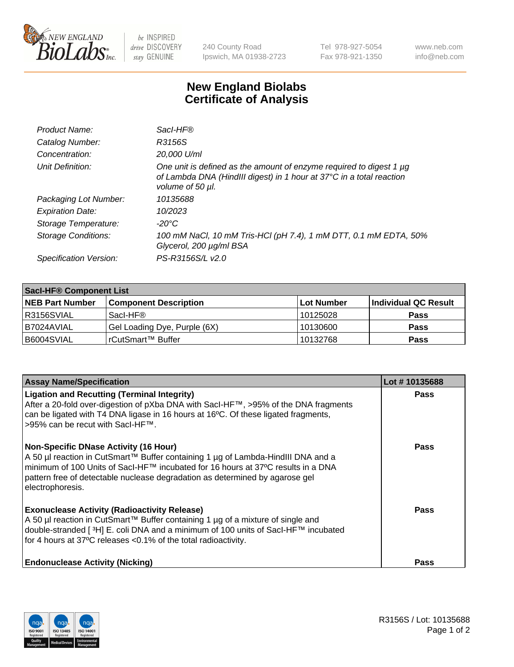

 $be$  INSPIRED drive DISCOVERY stay GENUINE

240 County Road Ipswich, MA 01938-2723 Tel 978-927-5054 Fax 978-921-1350 www.neb.com info@neb.com

## **New England Biolabs Certificate of Analysis**

| Product Name:              | Sacl-HF®                                                                                                                                                        |
|----------------------------|-----------------------------------------------------------------------------------------------------------------------------------------------------------------|
| Catalog Number:            | R3156S                                                                                                                                                          |
| Concentration:             | 20,000 U/ml                                                                                                                                                     |
| Unit Definition:           | One unit is defined as the amount of enzyme required to digest 1 µg<br>of Lambda DNA (HindIII digest) in 1 hour at 37°C in a total reaction<br>volume of 50 µl. |
| Packaging Lot Number:      | 10135688                                                                                                                                                        |
| <b>Expiration Date:</b>    | 10/2023                                                                                                                                                         |
| Storage Temperature:       | -20°C                                                                                                                                                           |
| <b>Storage Conditions:</b> | 100 mM NaCl, 10 mM Tris-HCl (pH 7.4), 1 mM DTT, 0.1 mM EDTA, 50%<br>Glycerol, 200 µg/ml BSA                                                                     |
| Specification Version:     | PS-R3156S/L v2.0                                                                                                                                                |

| Sacl-HF® Component List |                              |            |                      |  |  |
|-------------------------|------------------------------|------------|----------------------|--|--|
| <b>NEB Part Number</b>  | <b>Component Description</b> | Lot Number | Individual QC Result |  |  |
| I R3156SVIAL            | Sacl-HF®                     | 10125028   | <b>Pass</b>          |  |  |
| I B7024AVIAL            | Gel Loading Dye, Purple (6X) | 10130600   | <b>Pass</b>          |  |  |
| B6004SVIAL              | 'rCutSmart™ Buffer           | 10132768   | <b>Pass</b>          |  |  |

| <b>Assay Name/Specification</b>                                                                                                                                                                                                                                                                                          | Lot #10135688 |
|--------------------------------------------------------------------------------------------------------------------------------------------------------------------------------------------------------------------------------------------------------------------------------------------------------------------------|---------------|
| <b>Ligation and Recutting (Terminal Integrity)</b><br>After a 20-fold over-digestion of pXba DNA with Sacl-HF™, >95% of the DNA fragments<br>can be ligated with T4 DNA ligase in 16 hours at 16°C. Of these ligated fragments,<br>>95% can be recut with SacI-HF™.                                                      | <b>Pass</b>   |
| <b>Non-Specific DNase Activity (16 Hour)</b><br>A 50 µl reaction in CutSmart™ Buffer containing 1 µg of Lambda-HindIII DNA and a<br>minimum of 100 Units of Sacl-HF™ incubated for 16 hours at 37°C results in a DNA<br>pattern free of detectable nuclease degradation as determined by agarose gel<br>electrophoresis. | <b>Pass</b>   |
| <b>Exonuclease Activity (Radioactivity Release)</b><br>A 50 µl reaction in CutSmart™ Buffer containing 1 µg of a mixture of single and<br>double-stranded [3H] E. coli DNA and a minimum of 100 units of SacI-HF™ incubated<br>for 4 hours at 37°C releases <0.1% of the total radioactivity.                            | <b>Pass</b>   |
| <b>Endonuclease Activity (Nicking)</b>                                                                                                                                                                                                                                                                                   | Pass          |